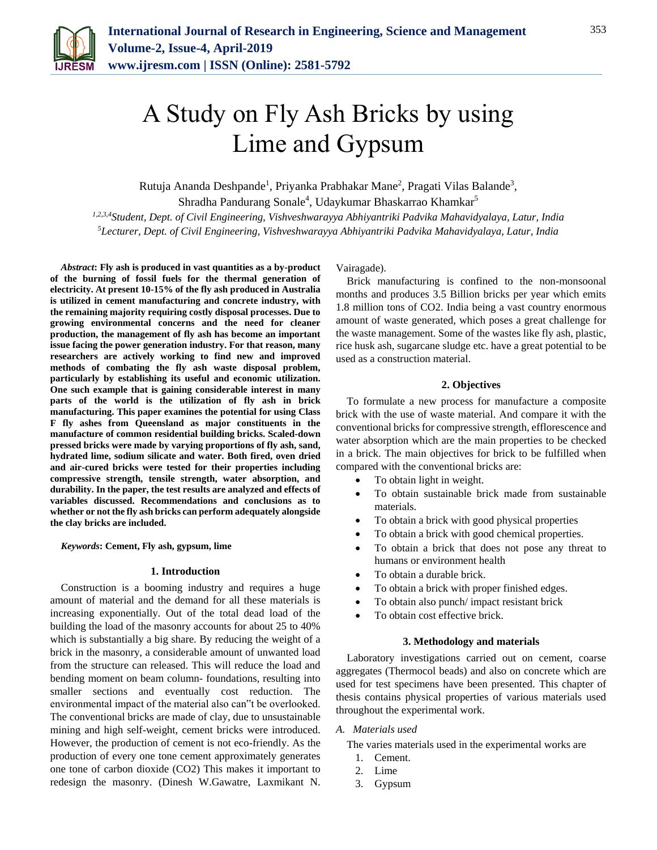

# A Study on Fly Ash Bricks by using Lime and Gypsum

Rutuja Ananda Deshpande<sup>1</sup>, Priyanka Prabhakar Mane<sup>2</sup>, Pragati Vilas Balande<sup>3</sup>,

Shradha Pandurang Sonale<sup>4</sup>, Udaykumar Bhaskarrao Khamkar<sup>5</sup>

*1,2,3,4Student, Dept. of Civil Engineering, Vishveshwarayya Abhiyantriki Padvika Mahavidyalaya, Latur, India 5Lecturer, Dept. of Civil Engineering, Vishveshwarayya Abhiyantriki Padvika Mahavidyalaya, Latur, India*

*Abstract***: Fly ash is produced in vast quantities as a by-product of the burning of fossil fuels for the thermal generation of electricity. At present 10-15% of the fly ash produced in Australia is utilized in cement manufacturing and concrete industry, with the remaining majority requiring costly disposal processes. Due to growing environmental concerns and the need for cleaner production, the management of fly ash has become an important issue facing the power generation industry. For that reason, many researchers are actively working to find new and improved methods of combating the fly ash waste disposal problem, particularly by establishing its useful and economic utilization. One such example that is gaining considerable interest in many parts of the world is the utilization of fly ash in brick manufacturing. This paper examines the potential for using Class F fly ashes from Queensland as major constituents in the manufacture of common residential building bricks. Scaled-down pressed bricks were made by varying proportions of fly ash, sand, hydrated lime, sodium silicate and water. Both fired, oven dried and air-cured bricks were tested for their properties including compressive strength, tensile strength, water absorption, and durability. In the paper, the test results are analyzed and effects of variables discussed. Recommendations and conclusions as to whether or not the fly ash bricks can perform adequately alongside the clay bricks are included.**

*Keywords***: Cement, Fly ash, gypsum, lime**

### **1. Introduction**

Construction is a booming industry and requires a huge amount of material and the demand for all these materials is increasing exponentially. Out of the total dead load of the building the load of the masonry accounts for about 25 to 40% which is substantially a big share. By reducing the weight of a brick in the masonry, a considerable amount of unwanted load from the structure can released. This will reduce the load and bending moment on beam column- foundations, resulting into smaller sections and eventually cost reduction. The environmental impact of the material also can"t be overlooked. The conventional bricks are made of clay, due to unsustainable mining and high self-weight, cement bricks were introduced. However, the production of cement is not eco-friendly. As the production of every one tone cement approximately generates one tone of carbon dioxide (CO2) This makes it important to redesign the masonry. (Dinesh W.Gawatre, Laxmikant N. Vairagade).

Brick manufacturing is confined to the non-monsoonal months and produces 3.5 Billion bricks per year which emits 1.8 million tons of CO2. India being a vast country enormous amount of waste generated, which poses a great challenge for the waste management. Some of the wastes like fly ash, plastic, rice husk ash, sugarcane sludge etc. have a great potential to be used as a construction material.

#### **2. Objectives**

To formulate a new process for manufacture a composite brick with the use of waste material. And compare it with the conventional bricks for compressive strength, efflorescence and water absorption which are the main properties to be checked in a brick. The main objectives for brick to be fulfilled when compared with the conventional bricks are:

- To obtain light in weight.
- To obtain sustainable brick made from sustainable materials.
- To obtain a brick with good physical properties
- To obtain a brick with good chemical properties.
- To obtain a brick that does not pose any threat to humans or environment health
- To obtain a durable brick.
- To obtain a brick with proper finished edges.
- To obtain also punch/ impact resistant brick
- To obtain cost effective brick.

#### **3. Methodology and materials**

Laboratory investigations carried out on cement, coarse aggregates (Thermocol beads) and also on concrete which are used for test specimens have been presented. This chapter of thesis contains physical properties of various materials used throughout the experimental work.

## *A. Materials used*

- The varies materials used in the experimental works are
	- 1. Cement.
	- 2. Lime
	- 3. Gypsum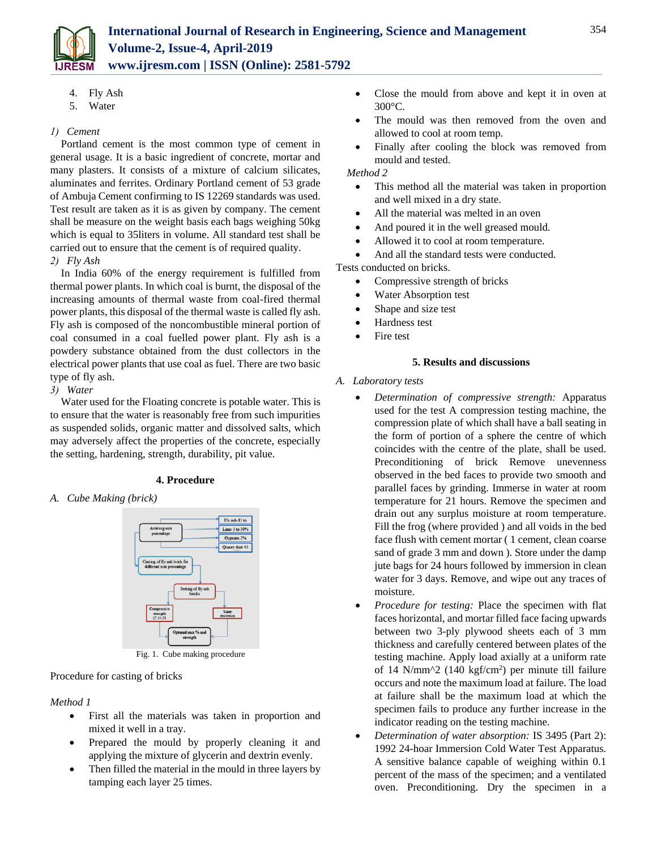

- 4. Fly Ash
- 5. Water

## *1) Cement*

Portland cement is the most common type of cement in general usage. It is a basic ingredient of concrete, mortar and many plasters. It consists of a mixture of calcium silicates, aluminates and ferrites. Ordinary Portland cement of 53 grade of Ambuja Cement confirming to IS 12269 standards was used. Test result are taken as it is as given by company. The cement shall be measure on the weight basis each bags weighing 50kg which is equal to 35liters in volume. All standard test shall be carried out to ensure that the cement is of required quality. *2) Fly Ash*

In India 60% of the energy requirement is fulfilled from thermal power plants. In which coal is burnt, the disposal of the increasing amounts of thermal waste from coal-fired thermal power plants, this disposal of the thermal waste is called fly ash. Fly ash is composed of the noncombustible mineral portion of coal consumed in a coal fuelled power plant. Fly ash is a powdery substance obtained from the dust collectors in the electrical power plants that use coal as fuel. There are two basic type of fly ash.

*3) Water* 

Water used for the Floating concrete is potable water. This is to ensure that the water is reasonably free from such impurities as suspended solids, organic matter and dissolved salts, which may adversely affect the properties of the concrete, especially the setting, hardening, strength, durability, pit value.

## **4. Procedure**

*A. Cube Making (brick)*



Fig. 1. Cube making procedure

Procedure for casting of bricks

## *Method 1*

- First all the materials was taken in proportion and mixed it well in a tray.
- Prepared the mould by properly cleaning it and applying the mixture of glycerin and dextrin evenly.
- Then filled the material in the mould in three layers by tamping each layer 25 times.
- Close the mould from above and kept it in oven at 300°C.
- The mould was then removed from the oven and allowed to cool at room temp.
- Finally after cooling the block was removed from mould and tested.

*Method 2*

- This method all the material was taken in proportion and well mixed in a dry state.
- All the material was melted in an oven
- And poured it in the well greased mould.
- Allowed it to cool at room temperature.
- And all the standard tests were conducted.

Tests conducted on bricks.

- Compressive strength of bricks
- Water Absorption test
- Shape and size test
- Hardness test
- Fire test

## **5. Results and discussions**

## *A. Laboratory tests*

- *Determination of compressive strength:* Apparatus used for the test A compression testing machine, the compression plate of which shall have a ball seating in the form of portion of a sphere the centre of which coincides with the centre of the plate, shall be used. Preconditioning of brick Remove unevenness observed in the bed faces to provide two smooth and parallel faces by grinding. Immerse in water at room temperature for 21 hours. Remove the specimen and drain out any surplus moisture at room temperature. Fill the frog (where provided ) and all voids in the bed face flush with cement mortar ( 1 cement, clean coarse sand of grade 3 mm and down ). Store under the damp jute bags for 24 hours followed by immersion in clean water for 3 days. Remove, and wipe out any traces of moisture.
- *Procedure for testing:* Place the specimen with flat faces horizontal, and mortar filled face facing upwards between two 3-ply plywood sheets each of 3 mm thickness and carefully centered between plates of the testing machine. Apply load axially at a uniform rate of 14 N/mm $\textdegree$ 2 (140 kgf/cm<sup>2</sup>) per minute till failure occurs and note the maximum load at failure. The load at failure shall be the maximum load at which the specimen fails to produce any further increase in the indicator reading on the testing machine.
- *Determination of water absorption:* IS 3495 (Part 2): 1992 24-hoar Immersion Cold Water Test Apparatus*.*  A sensitive balance capable of weighing within 0.1 percent of the mass of the specimen; and a ventilated oven. Preconditioning. Dry the specimen in a